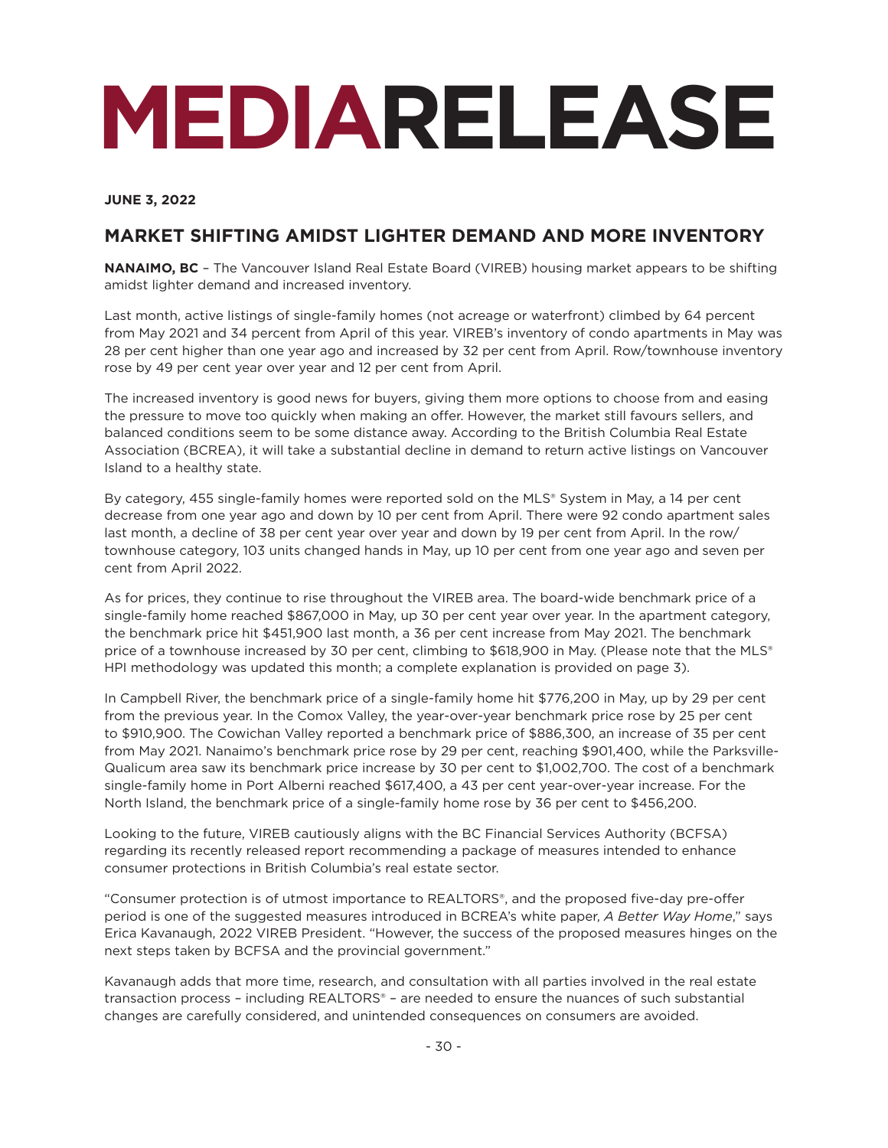# **MEDIARELEASE**

**JUNE 3, 2022**

### **MARKET SHIFTING AMIDST LIGHTER DEMAND AND MORE INVENTORY**

**NANAIMO, BC** - The Vancouver Island Real Estate Board (VIREB) housing market appears to be shifting amidst lighter demand and increased inventory.

Last month, active listings of single-family homes (not acreage or waterfront) climbed by 64 percent from May 2021 and 34 percent from April of this year. VIREB's inventory of condo apartments in May was 28 per cent higher than one year ago and increased by 32 per cent from April. Row/townhouse inventory rose by 49 per cent year over year and 12 per cent from April.

The increased inventory is good news for buyers, giving them more options to choose from and easing the pressure to move too quickly when making an offer. However, the market still favours sellers, and balanced conditions seem to be some distance away. According to the British Columbia Real Estate Association (BCREA), it will take a substantial decline in demand to return active listings on Vancouver Island to a healthy state.

By category, 455 single-family homes were reported sold on the MLS® System in May, a 14 per cent decrease from one year ago and down by 10 per cent from April. There were 92 condo apartment sales last month, a decline of 38 per cent year over year and down by 19 per cent from April. In the row/ townhouse category, 103 units changed hands in May, up 10 per cent from one year ago and seven per cent from April 2022.

As for prices, they continue to rise throughout the VIREB area. The board-wide benchmark price of a single-family home reached \$867,000 in May, up 30 per cent year over year. In the apartment category, the benchmark price hit \$451,900 last month, a 36 per cent increase from May 2021. The benchmark price of a townhouse increased by 30 per cent, climbing to \$618,900 in May. (Please note that the MLS® HPI methodology was updated this month; a complete explanation is provided on page 3).

In Campbell River, the benchmark price of a single-family home hit \$776,200 in May, up by 29 per cent from the previous year. In the Comox Valley, the year-over-year benchmark price rose by 25 per cent to \$910,900. The Cowichan Valley reported a benchmark price of \$886,300, an increase of 35 per cent from May 2021. Nanaimo's benchmark price rose by 29 per cent, reaching \$901,400, while the Parksville-Qualicum area saw its benchmark price increase by 30 per cent to \$1,002,700. The cost of a benchmark single-family home in Port Alberni reached \$617,400, a 43 per cent year-over-year increase. For the North Island, the benchmark price of a single-family home rose by 36 per cent to \$456,200.

Looking to the future, VIREB cautiously aligns with the BC Financial Services Authority (BCFSA) regarding its recently released report recommending a package of measures intended to enhance consumer protections in British Columbia's real estate sector.

"Consumer protection is of utmost importance to REALTORS®, and the proposed five-day pre-offer period is one of the suggested measures introduced in BCREA's white paper, *A Better Way Home*," says Erica Kavanaugh, 2022 VIREB President. "However, the success of the proposed measures hinges on the next steps taken by BCFSA and the provincial government."

Kavanaugh adds that more time, research, and consultation with all parties involved in the real estate transaction process – including REALTORS® – are needed to ensure the nuances of such substantial changes are carefully considered, and unintended consequences on consumers are avoided.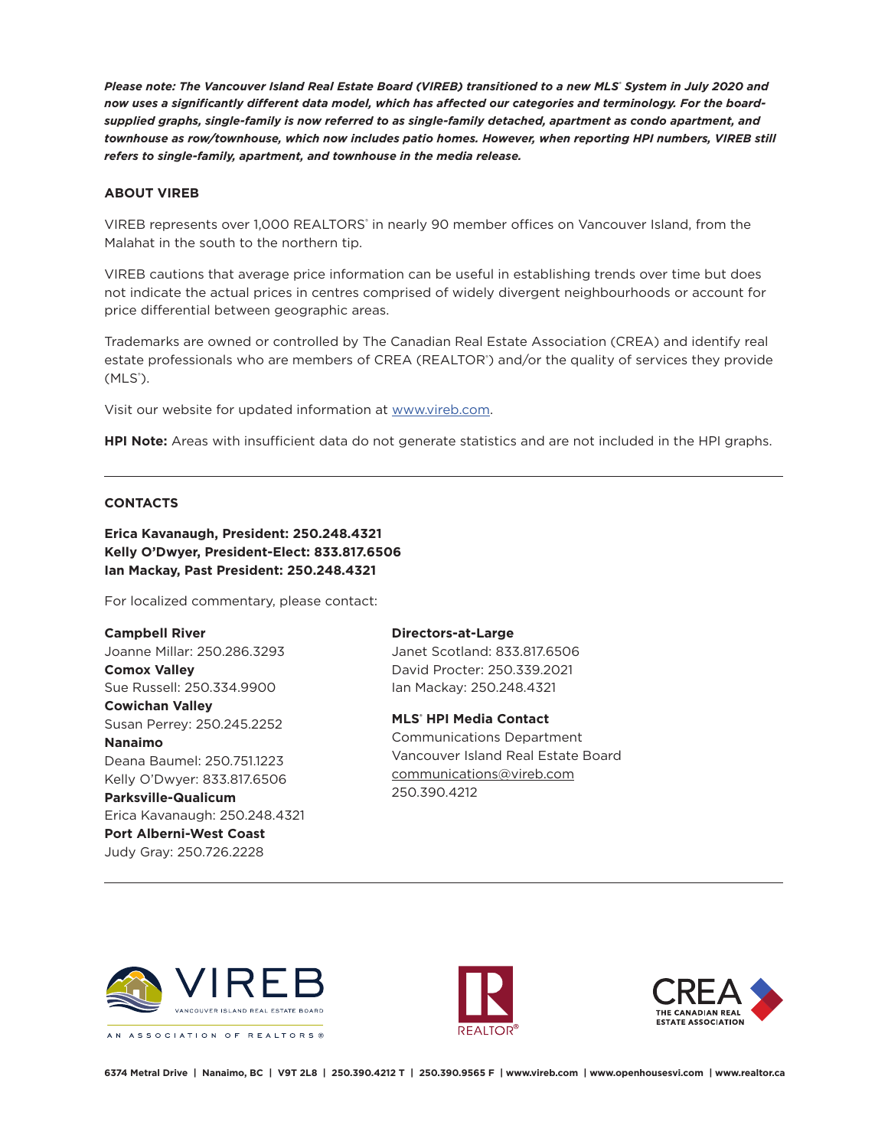*Please note: The Vancouver Island Real Estate Board (VIREB) transitioned to a new MLS® System in July 2020 and now uses a significantly different data model, which has affected our categories and terminology. For the boardsupplied graphs, single-family is now referred to as single-family detached, apartment as condo apartment, and townhouse as row/townhouse, which now includes patio homes. However, when reporting HPI numbers, VIREB still refers to single-family, apartment, and townhouse in the media release.* 

#### **ABOUT VIREB**

VIREB represents over 1,000 REALTORS' in nearly 90 member offices on Vancouver Island, from the Malahat in the south to the northern tip.

VIREB cautions that average price information can be useful in establishing trends over time but does not indicate the actual prices in centres comprised of widely divergent neighbourhoods or account for price differential between geographic areas.

Trademarks are owned or controlled by The Canadian Real Estate Association (CREA) and identify real estate professionals who are members of CREA (REALTOR') and/or the quality of services they provide (MLS<sup>®</sup>).

Visit our website for updated information at [www.vireb.com.](http://www.vireb.com)

**HPI Note:** Areas with insufficient data do not generate statistics and are not included in the HPI graphs.

#### **CONTACTS**

**Erica Kavanaugh, President: 250.248.4321 Kelly O'Dwyer, President-Elect: 833.817.6506 Ian Mackay, Past President: 250.248.4321**

For localized commentary, please contact:

**Campbell River** Joanne Millar: 250.286.3293 **Comox Valley** Sue Russell: 250.334.9900 **Cowichan Valley** Susan Perrey: 250.245.2252 **Nanaimo** Deana Baumel: 250.751.1223 Kelly O'Dwyer: 833.817.6506 **Parksville-Qualicum** Erica Kavanaugh: 250.248.4321 **Port Alberni-West Coast** Judy Gray: 250.726.2228

**Directors-at-Large** Janet Scotland: 833.817.6506 David Procter: 250.339.2021 Ian Mackay: 250.248.4321

**MLS® HPI Media Contact** Communications Department Vancouver Island Real Estate Board [communications@vireb.com](mailto:communications%40vireb.com?subject=) 250.390.4212